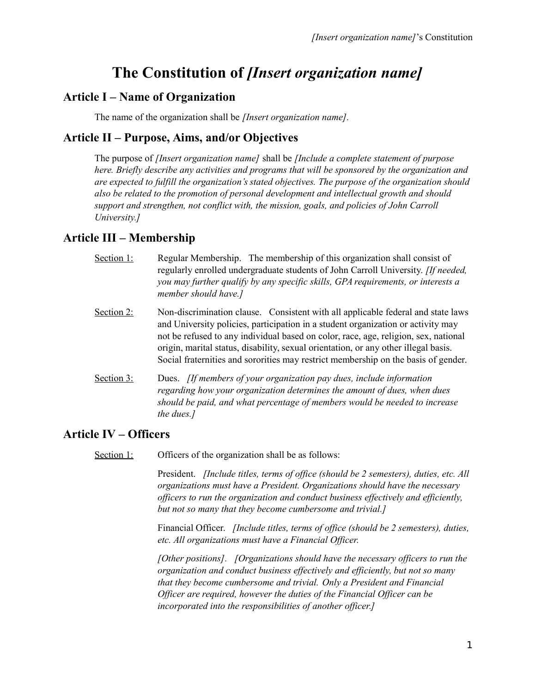# **The Constitution of** *[Insert organization name]*

#### **Article I – Name of Organization**

The name of the organization shall be *[Insert organization name].*

## **Article II – Purpose, Aims, and/or Objectives**

The purpose of *[Insert organization name]* shall be *[Include a complete statement of purpose here. Briefly describe any activities and programs that will be sponsored by the organization and are expected to fulfill the organization's stated objectives. The purpose of the organization should also be related to the promotion of personal development and intellectual growth and should support and strengthen, not conflict with, the mission, goals, and policies of John Carroll University.]*

# **Article III – Membership**

- Section 1: Regular Membership. The membership of this organization shall consist of regularly enrolled undergraduate students of John Carroll University. *[If needed, you may further qualify by any specific skills, GPA requirements, or interests a member should have.]*
- Section 2: Non-discrimination clause. Consistent with all applicable federal and state laws and University policies, participation in a student organization or activity may not be refused to any individual based on color, race, age, religion, sex, national origin, marital status, disability, sexual orientation, or any other illegal basis. Social fraternities and sororities may restrict membership on the basis of gender.
- Section 3: Dues. *[If members of your organization pay dues, include information regarding how your organization determines the amount of dues, when dues should be paid, and what percentage of members would be needed to increase the dues.]*

# **Article IV – Officers**

Section 1: Officers of the organization shall be as follows:

President. *[Include titles, terms of office (should be 2 semesters), duties, etc. All organizations must have a President. Organizations should have the necessary officers to run the organization and conduct business effectively and efficiently, but not so many that they become cumbersome and trivial.]*

Financial Officer. *[Include titles, terms of office (should be 2 semesters), duties, etc. All organizations must have a Financial Officer.*

*[Other positions]. [Organizations should have the necessary officers to run the organization and conduct business effectively and efficiently, but not so many that they become cumbersome and trivial. Only a President and Financial Officer are required, however the duties of the Financial Officer can be incorporated into the responsibilities of another officer.]*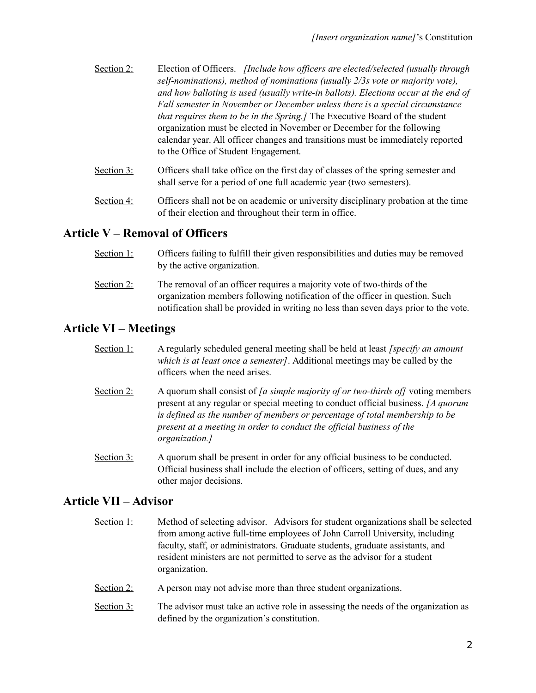- Section 2: Election of Officers. *[Include how officers are elected/selected (usually through self-nominations), method of nominations (usually 2/3s vote or majority vote), and how balloting is used (usually write-in ballots). Elections occur at the end of Fall semester in November or December unless there is a special circumstance that requires them to be in the Spring.]* The Executive Board of the student organization must be elected in November or December for the following calendar year. All officer changes and transitions must be immediately reported to the Office of Student Engagement.
- Section 3: Officers shall take office on the first day of classes of the spring semester and shall serve for a period of one full academic year (two semesters).
- Section 4: Officers shall not be on academic or university disciplinary probation at the time of their election and throughout their term in office.

## **Article V – Removal of Officers**

- Section 1: Officers failing to fulfill their given responsibilities and duties may be removed by the active organization.
- Section 2: The removal of an officer requires a majority vote of two-thirds of the organization members following notification of the officer in question. Such notification shall be provided in writing no less than seven days prior to the vote.

## **Article VI – Meetings**

- Section 1: A regularly scheduled general meeting shall be held at least *[specify an amount which is at least once a semester]*. Additional meetings may be called by the officers when the need arises.
- Section 2: A quorum shall consist of *[a simple majority of or two-thirds of]* voting members present at any regular or special meeting to conduct official business. *[A quorum is defined as the number of members or percentage of total membership to be present at a meeting in order to conduct the official business of the organization.]*
- Section 3: A quorum shall be present in order for any official business to be conducted. Official business shall include the election of officers, setting of dues, and any other major decisions.

#### **Article VII – Advisor**

- Section 1: Method of selecting advisor. Advisors for student organizations shall be selected from among active full-time employees of John Carroll University, including faculty, staff, or administrators. Graduate students, graduate assistants, and resident ministers are not permitted to serve as the advisor for a student organization.
- Section 2: A person may not advise more than three student organizations.
- Section  $3$ : The advisor must take an active role in assessing the needs of the organization as defined by the organization's constitution.